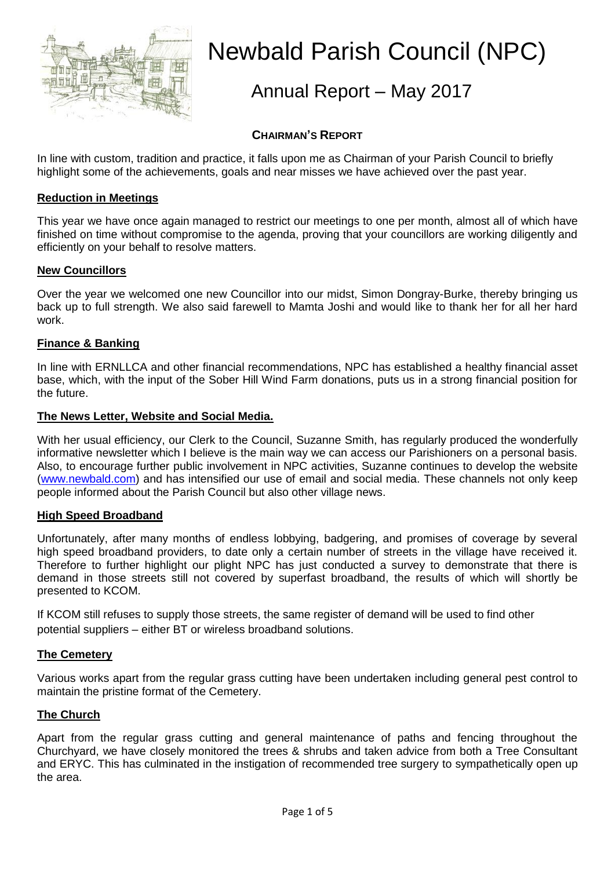

# Newbald Parish Council (NPC)

# Annual Report – May 2017

# **CHAIRMAN'S REPORT**

In line with custom, tradition and practice, it falls upon me as Chairman of your Parish Council to briefly highlight some of the achievements, goals and near misses we have achieved over the past year.

# **Reduction in Meetings**

This year we have once again managed to restrict our meetings to one per month, almost all of which have finished on time without compromise to the agenda, proving that your councillors are working diligently and efficiently on your behalf to resolve matters.

# **New Councillors**

Over the year we welcomed one new Councillor into our midst, Simon Dongray-Burke, thereby bringing us back up to full strength. We also said farewell to Mamta Joshi and would like to thank her for all her hard work.

# **Finance & Banking**

In line with ERNLLCA and other financial recommendations, NPC has established a healthy financial asset base, which, with the input of the Sober Hill Wind Farm donations, puts us in a strong financial position for the future.

# **The News Letter, Website and Social Media.**

With her usual efficiency, our Clerk to the Council, Suzanne Smith, has regularly produced the wonderfully informative newsletter which I believe is the main way we can access our Parishioners on a personal basis. Also, to encourage further public involvement in NPC activities, Suzanne continues to develop the website [\(www.newbald.com\)](file:///C:/Users/HP%20Laptop/OneDrive/NPCOct09onwards/Annual%20Reports/www.newbald.com) and has intensified our use of email and social media. These channels not only keep people informed about the Parish Council but also other village news.

# **High Speed Broadband**

Unfortunately, after many months of endless lobbying, badgering, and promises of coverage by several high speed broadband providers, to date only a certain number of streets in the village have received it. Therefore to further highlight our plight NPC has just conducted a survey to demonstrate that there is demand in those streets still not covered by superfast broadband, the results of which will shortly be presented to KCOM.

If KCOM still refuses to supply those streets, the same register of demand will be used to find other potential suppliers – either BT or wireless broadband solutions.

# **The Cemetery**

Various works apart from the regular grass cutting have been undertaken including general pest control to maintain the pristine format of the Cemetery.

# **The Church**

Apart from the regular grass cutting and general maintenance of paths and fencing throughout the Churchyard, we have closely monitored the trees & shrubs and taken advice from both a Tree Consultant and ERYC. This has culminated in the instigation of recommended tree surgery to sympathetically open up the area.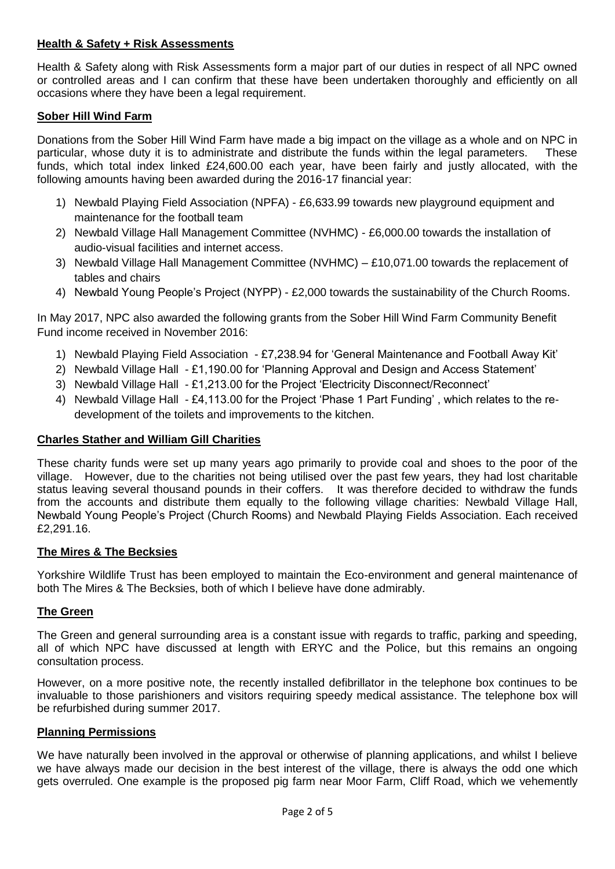# **Health & Safety + Risk Assessments**

Health & Safety along with Risk Assessments form a major part of our duties in respect of all NPC owned or controlled areas and I can confirm that these have been undertaken thoroughly and efficiently on all occasions where they have been a legal requirement.

# **Sober Hill Wind Farm**

Donations from the Sober Hill Wind Farm have made a big impact on the village as a whole and on NPC in particular, whose duty it is to administrate and distribute the funds within the legal parameters. These funds, which total index linked £24,600.00 each year, have been fairly and justly allocated, with the following amounts having been awarded during the 2016-17 financial year:

- 1) Newbald Playing Field Association (NPFA) £6,633.99 towards new playground equipment and maintenance for the football team
- 2) Newbald Village Hall Management Committee (NVHMC) £6,000.00 towards the installation of audio-visual facilities and internet access.
- 3) Newbald Village Hall Management Committee (NVHMC) £10,071.00 towards the replacement of tables and chairs
- 4) Newbald Young People's Project (NYPP) £2,000 towards the sustainability of the Church Rooms.

In May 2017, NPC also awarded the following grants from the Sober Hill Wind Farm Community Benefit Fund income received in November 2016:

- 1) Newbald Playing Field Association £7,238.94 for 'General Maintenance and Football Away Kit'
- 2) Newbald Village Hall £1,190.00 for 'Planning Approval and Design and Access Statement'
- 3) Newbald Village Hall £1,213.00 for the Project 'Electricity Disconnect/Reconnect'
- 4) Newbald Village Hall £4,113.00 for the Project 'Phase 1 Part Funding' , which relates to the redevelopment of the toilets and improvements to the kitchen.

#### **Charles Stather and William Gill Charities**

These charity funds were set up many years ago primarily to provide coal and shoes to the poor of the village. However, due to the charities not being utilised over the past few years, they had lost charitable status leaving several thousand pounds in their coffers. It was therefore decided to withdraw the funds from the accounts and distribute them equally to the following village charities: Newbald Village Hall, Newbald Young People's Project (Church Rooms) and Newbald Playing Fields Association. Each received £2,291.16.

#### **The Mires & The Becksies**

Yorkshire Wildlife Trust has been employed to maintain the Eco-environment and general maintenance of both The Mires & The Becksies, both of which I believe have done admirably.

# **The Green**

The Green and general surrounding area is a constant issue with regards to traffic, parking and speeding, all of which NPC have discussed at length with ERYC and the Police, but this remains an ongoing consultation process.

However, on a more positive note, the recently installed defibrillator in the telephone box continues to be invaluable to those parishioners and visitors requiring speedy medical assistance. The telephone box will be refurbished during summer 2017.

#### **Planning Permissions**

We have naturally been involved in the approval or otherwise of planning applications, and whilst I believe we have always made our decision in the best interest of the village, there is always the odd one which gets overruled. One example is the proposed pig farm near Moor Farm, Cliff Road, which we vehemently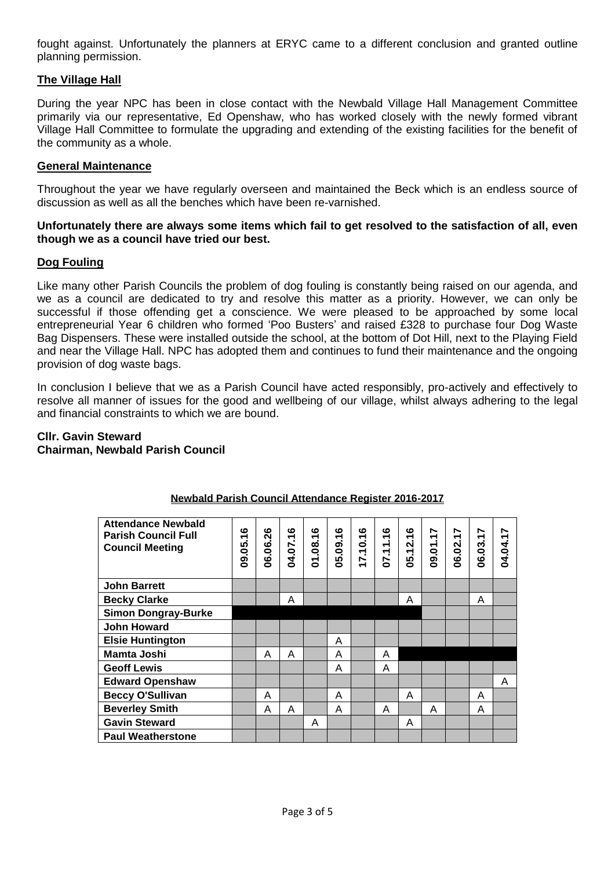fought against. Unfortunately the planners at ERYC came to a different conclusion and granted outline planning permission.

# **The Village Hall**

During the year NPC has been in close contact with the Newbald Village Hall Management Committee primarily via our representative, Ed Openshaw, who has worked closely with the newly formed vibrant Village Hall Committee to formulate the upgrading and extending of the existing facilities for the benefit of the community as a whole.

#### **General Maintenance**

Throughout the year we have regularly overseen and maintained the Beck which is an endless source of discussion as well as all the benches which have been re-varnished.

#### **Unfortunately there are always some items which fail to get resolved to the satisfaction of all, even though we as a council have tried our best.**

# **Dog Fouling**

Like many other Parish Councils the problem of dog fouling is constantly being raised on our agenda, and we as a council are dedicated to try and resolve this matter as a priority. However, we can only be successful if those offending get a conscience. We were pleased to be approached by some local entrepreneurial Year 6 children who formed 'Poo Busters' and raised £328 to purchase four Dog Waste Bag Dispensers. These were installed outside the school, at the bottom of Dot Hill, next to the Playing Field and near the Village Hall. NPC has adopted them and continues to fund their maintenance and the ongoing provision of dog waste bags.

In conclusion I believe that we as a Parish Council have acted responsibly, pro-actively and effectively to resolve all manner of issues for the good and wellbeing of our village, whilst always adhering to the legal and financial constraints to which we are bound.

#### **Cllr. Gavin Steward Chairman, Newbald Parish Council**

| <b>Attendance Newbald</b><br><b>Parish Council Full</b><br><b>Council Meeting</b> | <u>م</u><br>09.05. | 06.06.26 | ဖ<br>04.07.1 | ဖ<br>.08.1<br>5 | ဖ<br>÷<br>$\overline{0}$ .<br>5<br>Õ | ဖ<br>÷<br>$\ddot{\bullet}$<br>÷.<br>7 | ဖ<br>$\div$<br>$\div$<br>÷.<br>5 | ဖ<br>$-12.1$<br>8 | 09.01.17 | 06.02.17 | 06.03.17 | 04.04.17 |
|-----------------------------------------------------------------------------------|--------------------|----------|--------------|-----------------|--------------------------------------|---------------------------------------|----------------------------------|-------------------|----------|----------|----------|----------|
| <b>John Barrett</b>                                                               |                    |          |              |                 |                                      |                                       |                                  |                   |          |          |          |          |
| <b>Becky Clarke</b>                                                               |                    |          | A            |                 |                                      |                                       |                                  | A                 |          |          | A        |          |
| <b>Simon Dongray-Burke</b>                                                        |                    |          |              |                 |                                      |                                       |                                  |                   |          |          |          |          |
| <b>John Howard</b>                                                                |                    |          |              |                 |                                      |                                       |                                  |                   |          |          |          |          |
| <b>Elsie Huntington</b>                                                           |                    |          |              |                 | A                                    |                                       |                                  |                   |          |          |          |          |
| <b>Mamta Joshi</b>                                                                |                    | A        | A            |                 | A                                    |                                       | A                                |                   |          |          |          |          |
| <b>Geoff Lewis</b>                                                                |                    |          |              |                 | A                                    |                                       | A                                |                   |          |          |          |          |
| <b>Edward Openshaw</b>                                                            |                    |          |              |                 |                                      |                                       |                                  |                   |          |          |          | A        |
| <b>Beccy O'Sullivan</b>                                                           |                    | Α        |              |                 | A                                    |                                       |                                  | A                 |          |          | A        |          |
| <b>Beverley Smith</b>                                                             |                    | A        | A            |                 | A                                    |                                       | A                                |                   | A        |          | A        |          |
| <b>Gavin Steward</b>                                                              |                    |          |              | A               |                                      |                                       |                                  | A                 |          |          |          |          |
| <b>Paul Weatherstone</b>                                                          |                    |          |              |                 |                                      |                                       |                                  |                   |          |          |          |          |

# **Newbald Parish Council Attendance Register 2016-2017**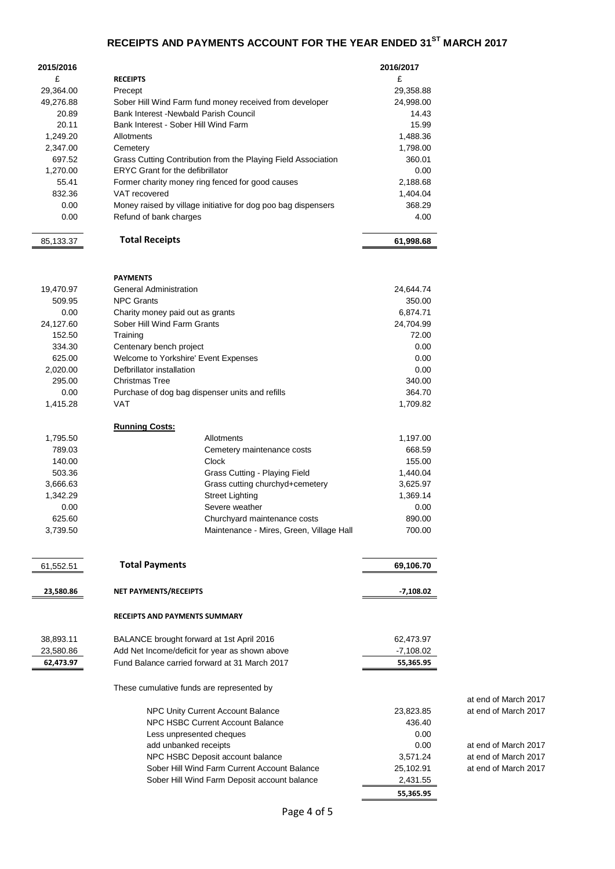# **RECEIPTS AND PAYMENTS ACCOUNT FOR THE YEAR ENDED 31ST MARCH 2017**

| 2015/2016              |                                                                                                 | 2016/2017                |                      |
|------------------------|-------------------------------------------------------------------------------------------------|--------------------------|----------------------|
| £                      | <b>RECEIPTS</b>                                                                                 | £                        |                      |
| 29,364.00              | Precept                                                                                         | 29,358.88                |                      |
| 49,276.88              | Sober Hill Wind Farm fund money received from developer                                         | 24,998.00                |                      |
| 20.89                  | Bank Interest - Newbald Parish Council                                                          | 14.43                    |                      |
| 20.11                  | Bank Interest - Sober Hill Wind Farm                                                            | 15.99                    |                      |
| 1,249.20               | Allotments                                                                                      | 1,488.36                 |                      |
| 2,347.00               | Cemetery                                                                                        | 1,798.00                 |                      |
| 697.52                 | Grass Cutting Contribution from the Playing Field Association                                   | 360.01                   |                      |
| 1,270.00               | <b>ERYC Grant for the defibrillator</b>                                                         | 0.00                     |                      |
| 55.41                  | Former charity money ring fenced for good causes                                                | 2,188.68                 |                      |
| 832.36                 | VAT recovered                                                                                   | 1,404.04                 |                      |
| 0.00                   | Money raised by village initiative for dog poo bag dispensers                                   | 368.29                   |                      |
| 0.00                   | Refund of bank charges                                                                          | 4.00                     |                      |
|                        | <b>Total Receipts</b>                                                                           |                          |                      |
| 85,133.37              |                                                                                                 | 61,998.68                |                      |
|                        |                                                                                                 |                          |                      |
|                        | <b>PAYMENTS</b>                                                                                 |                          |                      |
| 19,470.97              | <b>General Administration</b>                                                                   | 24,644.74                |                      |
| 509.95                 | <b>NPC Grants</b>                                                                               | 350.00                   |                      |
| 0.00                   | Charity money paid out as grants                                                                | 6,874.71                 |                      |
| 24,127.60              | Sober Hill Wind Farm Grants                                                                     | 24,704.99                |                      |
| 152.50                 | Training                                                                                        | 72.00                    |                      |
| 334.30                 | Centenary bench project                                                                         | 0.00                     |                      |
| 625.00                 | Welcome to Yorkshire' Event Expenses                                                            | 0.00                     |                      |
| 2,020.00               | Defbrillator installation                                                                       | 0.00                     |                      |
| 295.00                 | Christmas Tree                                                                                  | 340.00                   |                      |
| 0.00                   | Purchase of dog bag dispenser units and refills                                                 | 364.70                   |                      |
| 1,415.28               | VAT                                                                                             | 1,709.82                 |                      |
|                        |                                                                                                 |                          |                      |
|                        | <b>Running Costs:</b>                                                                           |                          |                      |
| 1,795.50               | Allotments                                                                                      | 1,197.00                 |                      |
| 789.03                 | Cemetery maintenance costs                                                                      | 668.59                   |                      |
| 140.00                 | Clock                                                                                           | 155.00                   |                      |
| 503.36                 | Grass Cutting - Playing Field                                                                   | 1,440.04                 |                      |
| 3,666.63               | Grass cutting churchyd+cemetery                                                                 | 3,625.97                 |                      |
| 1,342.29               | <b>Street Lighting</b>                                                                          | 1,369.14                 |                      |
| 0.00<br>625.60         | Severe weather                                                                                  | 0.00<br>890.00           |                      |
| 3,739.50               | Churchyard maintenance costs<br>Maintenance - Mires, Green, Village Hall                        | 700.00                   |                      |
|                        |                                                                                                 |                          |                      |
|                        |                                                                                                 |                          |                      |
| 61,552.51              | <b>Total Payments</b>                                                                           | 69,106.70                |                      |
|                        |                                                                                                 |                          |                      |
| 23,580.86              | NET PAYMENTS/RECEIPTS                                                                           | -7,108.02                |                      |
|                        |                                                                                                 |                          |                      |
|                        | <b>RECEIPTS AND PAYMENTS SUMMARY</b>                                                            |                          |                      |
|                        |                                                                                                 |                          |                      |
| 38,893.11              | BALANCE brought forward at 1st April 2016                                                       | 62,473.97                |                      |
| 23,580.86<br>62,473.97 | Add Net Income/deficit for year as shown above<br>Fund Balance carried forward at 31 March 2017 | $-7,108.02$<br>55,365.95 |                      |
|                        |                                                                                                 |                          |                      |
|                        | These cumulative funds are represented by                                                       |                          |                      |
|                        |                                                                                                 |                          | at end of March 2017 |
|                        | NPC Unity Current Account Balance                                                               | 23,823.85                | at end of March 2017 |
|                        | <b>NPC HSBC Current Account Balance</b>                                                         | 436.40                   |                      |
|                        | Less unpresented cheques                                                                        | 0.00                     |                      |
|                        | add unbanked receipts                                                                           | 0.00                     | at end of March 2017 |
|                        | NPC HSBC Deposit account balance                                                                | 3,571.24                 | at end of March 2017 |
|                        | Sober Hill Wind Farm Current Account Balance                                                    | 25,102.91                | at end of March 2017 |
|                        | Sober Hill Wind Farm Deposit account balance                                                    | 2,431.55                 |                      |
|                        |                                                                                                 | 55,365.95                |                      |
|                        |                                                                                                 |                          |                      |